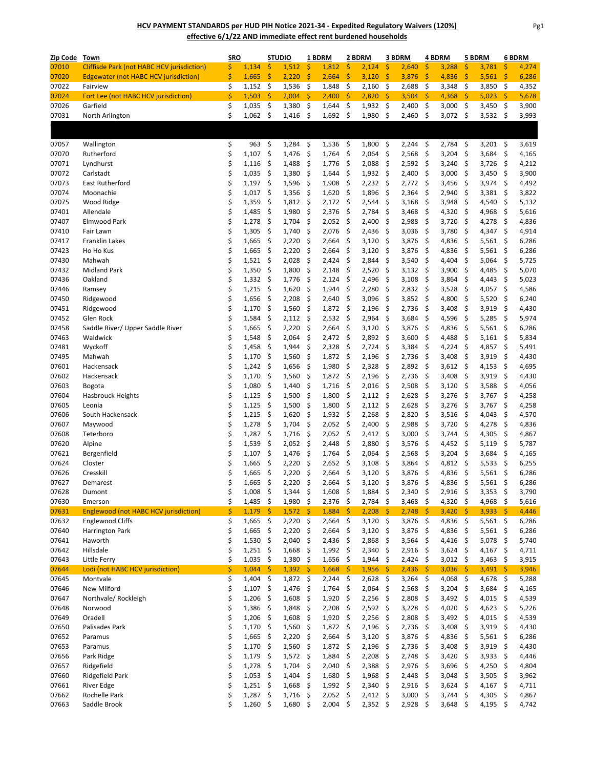**HCV PAYMENT STANDARDS per HUD PIH Notice 2021‐34 ‐ Expedited Regulatory Waivers (120%) effective 6/1/22 AND immediate effect rent burdened households**

| Zip Code Town  |                                                   | <b>SRO</b> |                | <b>STUDIO</b> |                | 1 BDRM   |                | 2 BDRM   |                | 3 BDRM        |                | 4 BDRM                    |                | 5 BDRM                    |                | 6 BDRM    |                |
|----------------|---------------------------------------------------|------------|----------------|---------------|----------------|----------|----------------|----------|----------------|---------------|----------------|---------------------------|----------------|---------------------------|----------------|-----------|----------------|
| 07010          | <b>Cliffisde Park (not HABC HCV jurisdiction)</b> | \$         | 1,134          | \$            | 1,512          | \$       | 1,812          | \$       | 2,124          | \$            | 2,640          | \$                        | 3,288          | \$                        | 3,781          | \$        | 4,274          |
| 07020          | <b>Edgewater (not HABC HCV jurisdiction)</b>      | \$         | 1,665          | \$            | 2,220          | \$       | 2,664          | \$       | 3,120          | \$            | 3,876          | \$                        | 4,836          | \$                        | 5,561          | -\$       | 6,286          |
| 07022          | Fairview                                          | \$         | 1,152          | - \$          | 1,536          | -\$      | 1,848          | - \$     | 2,160          | -\$           | 2,688          | -\$                       | 3,348          | -\$                       | 3,850          | -\$       | 4,352          |
| 07024          | Fort Lee (not HABC HCV jurisdiction)              | \$         | 1,503          | -\$           | 2,004          | \$       | 2,400          | -\$      | 2,820          | -\$           | 3,504          | -\$                       | 4,368          | -\$                       | 5,023          | -\$       | 5,678          |
| 07026          | Garfield                                          | \$         | 1,035          | - \$          | 1,380          | -\$      | 1,644          | -\$      | 1,932          | - \$          | 2,400          | - \$                      | 3,000          | - \$                      | 3,450          | - \$      | 3,900          |
| 07031          | North Arlington                                   | \$         | 1,062          | -\$           | 1,416          | -\$      | 1,692          | - \$     | 1,980          | -\$           | 2,460          | -\$                       | $3,072$ \$     |                           | $3,532$ \$     |           | 3,993          |
|                |                                                   |            |                |               |                |          |                |          |                |               |                |                           |                |                           |                |           |                |
|                |                                                   |            |                |               |                |          |                |          |                |               |                |                           |                |                           |                |           |                |
| 07057          | Wallington                                        | \$         | 963            | -\$           | 1,284          | - \$     | 1,536          | - \$     | 1,800          | \$            | 2,244          | -\$                       | 2,784          | -\$                       | 3,201 \$       |           | 3,619          |
| 07070          | Rutherford                                        | \$         | 1,107          | \$            | 1,476          | \$       | 1,764          | \$       | 2,064          | \$            | 2,568          | \$                        | 3,204          | \$                        | 3,684          | \$        | 4,165          |
| 07071          | Lyndhurst                                         | \$         | 1,116          | \$            | 1,488          | \$       | 1,776          | \$       | 2,088          | \$            | 2,592          | $\boldsymbol{\mathsf{S}}$ | 3,240          | $\mathsf{\$}$             | 3,726          | \$        | 4,212          |
| 07072          | Carlstadt<br><b>East Rutherford</b>               | \$         | 1,035          | \$            | 1,380          | \$       | 1,644          | \$       | 1,932          | - \$          | 2,400          | \$                        | 3,000          | \$                        | 3,450          | \$        | 3,900          |
| 07073<br>07074 | Moonachie                                         | \$<br>\$   | 1,197          | \$<br>\$      | 1,596          | \$<br>\$ | 1,908          | \$<br>\$ | 2,232          | \$<br>\$      | 2,772          | \$<br>\$                  | 3,456          | \$<br>\$                  | 3,974          | \$<br>\$  | 4,492<br>3,822 |
| 07075          | Wood Ridge                                        | \$         | 1,017<br>1,359 | \$            | 1,356<br>1,812 | \$       | 1,620<br>2,172 | -\$      | 1,896<br>2,544 | \$            | 2,364<br>3,168 | \$                        | 2,940<br>3,948 | \$                        | 3,381<br>4,540 | \$        | 5,132          |
| 07401          | Allendale                                         | \$         | 1,485          | \$            | 1,980          | \$       | 2,376          | \$       | 2,784          | \$            | 3,468          | \$                        | 4,320          | \$                        | 4,968          | \$        | 5,616          |
| 07407          | Elmwood Park                                      | \$         | 1,278          | \$            | 1,704          | \$       | 2,052          | -\$      | 2,400          | \$            | 2,988          | $\boldsymbol{\mathsf{S}}$ | 3,720          | -\$                       | 4,278          | \$        | 4,836          |
| 07410          | Fair Lawn                                         | \$         | 1,305          | \$            | 1,740          | \$       | 2,076          | -\$      | 2,436          | -\$           | 3,036          | -\$                       | 3,780          | -\$                       | 4,347          | \$        | 4,914          |
| 07417          | <b>Franklin Lakes</b>                             | \$         | 1,665          | \$            | 2,220          | \$       | 2,664          | \$       | 3,120          | \$            | 3,876          | \$                        | 4,836          | \$                        | 5,561          | -\$       | 6,286          |
| 07423          | Ho Ho Kus                                         | \$         | 1,665          | \$            | 2,220          | \$       | 2,664          | \$       | 3,120          | \$            | 3,876          | \$                        | 4,836          | \$                        | 5,561          | \$        | 6,286          |
| 07430          | Mahwah                                            | \$         | 1,521          | \$            | 2,028          | \$       | 2,424          | \$       | 2,844          | \$            | 3,540          | \$                        | 4,404          | \$                        | 5,064          | \$        | 5,725          |
| 07432          | <b>Midland Park</b>                               | \$         | 1,350          | \$            | 1,800          | \$       | 2,148          | -\$      | 2,520          | \$            | 3,132          | -\$                       | 3,900          | -\$                       | 4,485          | \$        | 5,070          |
| 07436          | Oakland                                           | \$         | 1,332          | \$            | 1,776          | \$       | 2,124          | \$       | 2,496          | \$            | 3,108          | \$                        | 3,864          | \$                        | 4,443          | \$        | 5,023          |
| 07446          | Ramsey                                            | \$         | 1,215          | \$            | 1,620          | \$       | 1,944          | \$       | 2,280          | \$            | 2,832          | \$                        | 3,528          | \$                        | 4,057          | \$        | 4,586          |
| 07450          | Ridgewood                                         | \$         | 1,656          | \$            | 2,208          | \$       | 2,640          | \$       | 3,096          | \$            | 3,852          | -\$                       | 4,800          | \$                        | 5,520          | -\$       | 6,240          |
| 07451          | Ridgewood                                         | \$         | 1,170          | \$            | 1,560          | \$       | 1,872          | \$       | 2,196          | \$            | 2,736          | \$                        | 3,408          | \$                        | 3,919          | \$        | 4,430          |
| 07452          | Glen Rock                                         | \$         | 1,584          | \$            | 2,112          | \$       | 2,532          | \$       | 2,964          | \$            | 3,684          | \$                        | 4,596          | \$                        | 5,285          | \$        | 5,974          |
| 07458          | Saddle River/ Upper Saddle River                  | \$         | 1,665          | -\$           | 2,220          | \$       | 2,664          | -\$      | 3,120          | -\$           | 3,876          | -\$                       | 4,836          | -\$                       | $5,561$ \$     |           | 6,286          |
| 07463          | Waldwick                                          | \$         | 1,548          | \$            | 2,064          | \$       | 2,472          | -\$      | 2,892          | -\$           | 3,600          | \$                        | 4,488          | -\$                       | 5,161          | -\$       | 5,834          |
| 07481          | Wyckoff                                           | \$         | 1,458          | \$            | 1,944          | \$       | 2,328          | \$       | 2,724          | \$            | 3,384          | \$                        | 4,224          | \$                        | 4,857          | \$        | 5,491          |
| 07495          | Mahwah                                            | \$         | 1,170          | -\$           | 1,560          | \$       | 1,872          | - \$     | 2,196          | -\$           | 2,736          | $\mathsf{S}$              | 3,408          | -\$                       | 3,919          | -\$       | 4,430          |
| 07601          | Hackensack                                        | \$         | 1,242          | \$            | 1,656          | \$       | 1,980          | \$       | 2,328          | \$            | 2,892          | \$                        | 3,612          | -\$                       | 4,153          | \$        | 4,695          |
| 07602          | Hackensack                                        | \$         | 1,170          | \$            | 1,560          | \$       | 1,872          | \$       | 2,196          | \$            | 2,736          | \$                        | 3,408          | \$                        | 3,919          | \$        | 4,430          |
| 07603          | Bogota                                            | \$         | 1,080          | \$            | 1,440          | \$       | 1,716          | -\$      | 2,016          | -\$           | 2,508          | $\mathsf{S}$              | 3,120          | $\boldsymbol{\mathsf{S}}$ | 3,588          | -\$       | 4,056          |
| 07604          | <b>Hasbrouck Heights</b>                          | \$         | 1,125          | \$            | 1,500          | \$       | 1,800          | \$       | 2,112          | -\$           | 2,628          | \$                        | 3,276          | \$                        | 3,767          | \$        | 4,258          |
| 07605          | Leonia                                            | \$         | 1,125          | \$            | 1,500          | \$       | 1,800          | \$       | 2,112          | $\mathsf{\$}$ | 2,628          | \$                        | 3,276          | \$                        | 3,767          | \$        | 4,258          |
| 07606          | South Hackensack                                  | \$         | 1,215          | \$            | 1,620          | \$       | 1,932          | - \$     | 2,268          | -\$           | 2,820          | $\boldsymbol{\mathsf{S}}$ | 3,516          | -\$                       | 4,043          | -\$       | 4,570          |
| 07607          | Maywood                                           | \$         | 1,278          | \$            | 1,704          | \$       | 2,052          | \$       | 2,400          | \$            | 2,988          | \$                        | 3,720          | \$                        | 4,278          | \$        | 4,836          |
| 07608          | Teterboro                                         | \$         | 1,287          | \$            | 1,716          | \$       | 2,052          | \$       | 2,412          | \$            | 3,000          | \$                        | 3,744          | \$                        | 4,305          | \$        | 4,867          |
| 07620          | Alpine                                            | \$         | 1,539          | \$            | 2,052          | -\$      | 2,448          | -\$      | 2,880          | -\$           | 3,576          | -\$                       | 4,452          | -\$                       | 5,119          | -\$       | 5,787          |
| 07621          | Bergenfield                                       | \$         | 1,107          | \$            | 1,476          | \$       | 1,764          | \$       | 2,064          | \$            | 2,568          | \$                        | 3,204          | \$                        | 3,684          | \$        | 4,165          |
| 07624<br>07626 | Closter                                           | \$         | 1,665          | \$            | 2,220          | \$       | 2,652          | \$       | 3,108          | \$            | 3,864          | \$                        | 4,812          | -\$                       | 5,533          | \$        | 6,255          |
| 07627          | Cresskill<br>Demarest                             | \$<br>Ś    | 1,665<br>1,665 | \$<br>\$      | 2,220<br>2,220 | \$<br>\$ | 2,664<br>2,664 | \$<br>\$ | 3,120<br>3,120 | \$<br>\$      | 3,876<br>3,876 | \$<br>\$                  | 4,836<br>4,836 | \$<br>\$                  | 5,561<br>5,561 | -\$<br>\$ | 6,286<br>6,286 |
| 07628          | Dumont                                            | \$         | 1,008          | - \$          | 1,344          | -\$      | 1,608          | -\$      | 1,884          | -\$           | 2,340          | -\$                       | $2,916$ \$     |                           | 3,353          | -\$       | 3,790          |
| 07630          | Emerson                                           | \$         | 1,485          | - \$          | 1,980          | - \$     | $2,376$ \$     |          | $2,784$ \$     |               | 3,468 \$       |                           | 4,320 \$       |                           | 4,968          | - \$      | 5,616          |
| 07631          | <b>Englewood (not HABC HCV jurisdiction)</b>      | \$         | 1,179          | - \$          | $1,572$ \$     |          | $1,884$ \$     |          | $2,208$ \$     |               | $2,748$ \$     |                           | $3,420$ \$     |                           | $3,933$ \$     |           | 4,446          |
| 07632          | <b>Englewood Cliffs</b>                           | \$         | 1,665          | -\$           | 2,220          | -\$      | 2,664          | - \$     | 3,120          | - \$          | 3,876 \$       |                           | 4,836 \$       |                           | $5,561$ \$     |           | 6,286          |
| 07640          | Harrington Park                                   | \$         | 1,665          | - \$          | 2,220          | -\$      | 2,664          | - \$     | 3,120          | - \$          | 3,876          | - \$                      | 4,836          | - \$                      | $5,561$ \$     |           | 6,286          |
| 07641          | Haworth                                           | \$         | 1,530          | \$            | 2,040          | \$       | 2,436          | - \$     | 2,868          | -\$           | 3,564          | -\$                       | 4,416 \$       |                           | $5,078$ \$     |           | 5,740          |
| 07642          | Hillsdale                                         | \$         | 1,251          | -\$           | 1,668          | -\$      | $1,992$ \$     |          | 2,340          | \$            | $2,916$ \$     |                           | $3,624$ \$     |                           | 4,167 \$       |           | 4,711          |
| 07643          | Little Ferry                                      | \$         | 1,035          | - \$          | $1,380$ \$     |          | $1,656$ \$     |          | $1,944$ \$     |               | $2,424$ \$     |                           | $3,012$ \$     |                           | 3,463 \$       |           | 3,915          |
| 07644          | Lodi (not HABC HCV jurisdiction)                  | \$         | $1,044$ \$     |               | $1,392$ \$     |          | $1,668$ \$     |          | $1,956$ \$     |               | $2,436$ \$     |                           | $3,036$ \$     |                           | $3,491$ \$     |           | 3,946          |
| 07645          | Montvale                                          | \$         | $1,404$ \$     |               | $1,872$ \$     |          | $2,244$ \$     |          | $2,628$ \$     |               | $3,264$ \$     |                           | 4,068 \$       |                           | 4,678 \$       |           | 5,288          |
| 07646          | New Milford                                       | \$         | 1,107          | - \$          | 1,476          | -\$      | 1,764          | - \$     | 2,064          | - \$          | 2,568          | - \$                      | 3,204          | - \$                      | 3,684          | - \$      | 4,165          |
| 07647          | Northvale/Rockleigh                               | \$         | 1,206          | \$            | 1,608          | -\$      | 1,920          | -\$      | 2,256          | - \$          | 2,808          | -\$                       | $3,492$ \$     |                           | 4,015          | - \$      | 4,539          |
| 07648          | Norwood                                           | \$         | 1,386          | \$            | 1,848          | \$       | 2,208          | -\$      | 2,592          | \$            | 3,228          | -\$                       | 4,020          | -\$                       | 4,623 \$       |           | 5,226          |
| 07649          | Oradell                                           | \$         | 1,206          | -\$           | 1,608          | -\$      | 1,920          | -\$      | 2,256          | -\$           | 2,808          | -\$                       | 3,492          | - \$                      | 4,015 \$       |           | 4,539          |
| 07650          | Palisades Park                                    | \$         | 1,170          | \$            | 1,560          | \$       | 1,872 \$       |          | 2,196          | - \$          | 2,736          | - \$                      | 3,408          | -\$                       | 3,919          | - \$      | 4,430          |
| 07652          | Paramus                                           | \$         | 1,665          | \$            | 2,220          | \$       | 2,664          | - \$     | 3,120          | -\$           | 3,876          | - \$                      | 4,836          | -\$                       | 5,561          | - \$      | 6,286          |
| 07653          | Paramus                                           | \$         | 1,170          | -\$           | 1,560          | -\$      | 1,872          | - \$     | 2,196          | -\$           | 2,736          | - \$                      | 3,408          | -\$                       | 3,919 \$       |           | 4,430          |
| 07656          | Park Ridge                                        | \$         | 1,179          | -\$           | $1,572$ \$     |          | 1,884          | -\$      | 2,208          | - \$          | 2,748          | - \$                      | 3,420          | - \$                      | 3,933          | - \$      | 4,446          |
| 07657          | Ridgefield                                        | \$         | 1,278          | -\$           | 1,704          | -\$      | 2,040          | \$       | 2,388          | -\$           | 2,976          | \$                        | 3,696          | -\$                       | 4,250          | -\$       | 4,804          |
| 07660          | Ridgefield Park                                   | \$         | 1,053          | -\$           | 1,404          | -\$      | 1,680          | -\$      | 1,968          | -\$           | 2,448          | $\mathsf{\$}$             | 3,048          | -\$                       | 3,505          | -\$       | 3,962          |
| 07661          | River Edge                                        | \$         | 1,251          | - \$          | 1,668          | - \$     | 1,992          | - \$     | 2,340          | - \$          | 2,916          | - \$                      | 3,624          | - \$                      | 4,167 \$       |           | 4,711          |
| 07662          | Rochelle Park                                     | \$         | 1,287          | -\$           | $1,716$ \$     |          | $2,052$ \$     |          | $2,412$ \$     |               | 3,000          | - \$                      | 3,744          | -\$                       | 4,305          | -\$       | 4,867          |
| 07663          | Saddle Brook                                      | Ś          | $1,260$ \$     |               | $1,680$ \$     |          | $2,004$ \$     |          | $2,352$ \$     |               | 2,928 \$       |                           | $3,648$ \$     |                           | 4,195 \$       |           | 4,742          |